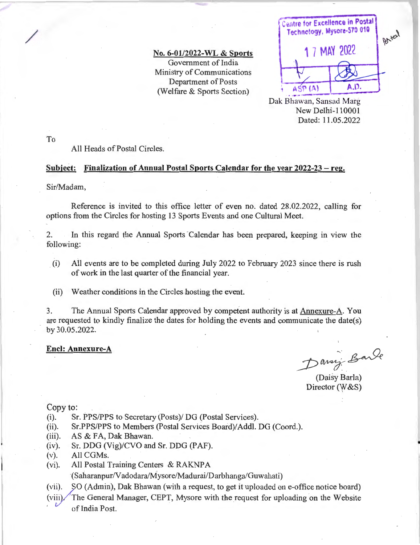**No. 6-01/2022-WL** & **Sports**  Government of India Ministry of Communications Department of Posts (Welfare & Sports Section)

**Centre for Excellence in Postal** Technology, Mysore-570 010 Batal **1** 7 MAY 2022 A.D. ASP<sub>(A)</sub>

Dak Bhawan, Sansad Marg New Delhi-110001 Dated: 11 .05.2022

To

/

# All Heads of Postal Circles.

## **Subject: Finalization of Annual Postal Sports Calendar for the year 2022~23** - **reg.**

Sir/Madam,

Reference is invited to this office letter of even no. dated 28.02.2022, calling for options from the Circles for hosting 13 Sports Events and one Cultural Meet.

2. In this regard the Annual Sports Calendar has been prepared, keeping in view the following:

- (i) All events are to be completed during July 2022 to February 2023 since there is msh of work in the last quarter of the financial year.
- (ii) Weather conditions in the Circles hosting the event.

3. The Annual Sports Calendar approved by competent authority is at Annexure-A. You are requested to kindly finalize the dates for holding the events and communicate the date(s) by 30.05.2022.

## **Encl: Annexure-A**

Daning Bande

•

(Daisy Barla) Director (W&S)

#### Copy to:

- (i). Sr. PPS/PPS to Secretary (Posts)/ DG (Postal Services).
- (ii). Sr.PPS/PPS to Members (Postal Services Board)/Addl. DG (Coord.).
- (iii). AS & FA, Dak Bhawan.
- (iv). Sr. DDG (Vig)/CVO and Sr. DDG (PAF).
- (v). All CGMs.
- (vi). All Postal Training Centers & RAKNPA

(Saharanpur/Vadodara/Mysore/Madurai/Darbhanga/Guwahati)

(vii). SO (Admin), Dak Bhawan (with a request, to get it uploaded on e-office notice board)

(viii). The General Manager, CEPT, Mysore with the request for uploading on the Website of India Post.